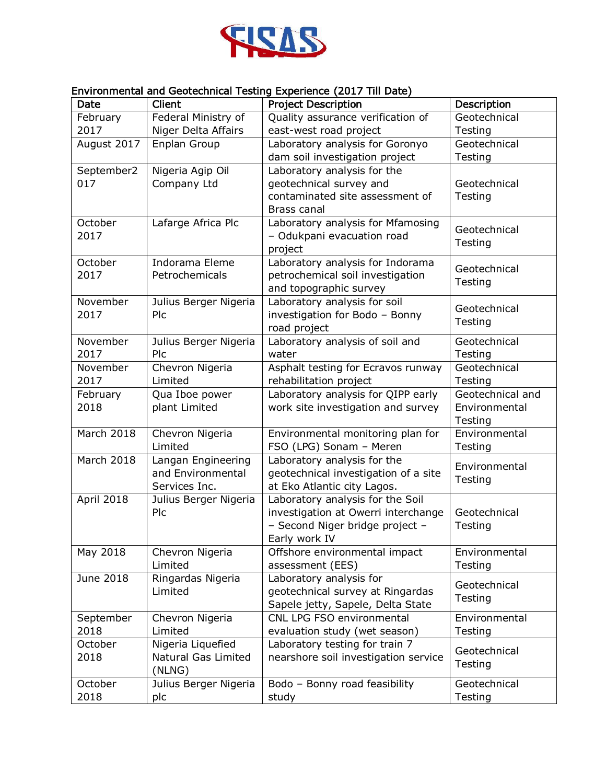

## Environmental and Geotechnical Testing Experience (2017 Till Date)

| Date             | Client                          | <b>Project Description</b>                                   | Description                 |
|------------------|---------------------------------|--------------------------------------------------------------|-----------------------------|
| February         | Federal Ministry of             | Quality assurance verification of                            | Geotechnical                |
| 2017             | Niger Delta Affairs             | east-west road project                                       | Testing                     |
| August 2017      | Enplan Group                    | Laboratory analysis for Goronyo                              | Geotechnical                |
|                  |                                 | dam soil investigation project                               | Testing                     |
| September2       | Nigeria Agip Oil                | Laboratory analysis for the                                  |                             |
| 017              | Company Ltd                     | geotechnical survey and                                      | Geotechnical                |
|                  |                                 | contaminated site assessment of                              | Testing                     |
|                  |                                 | Brass canal                                                  |                             |
| October          | Lafarge Africa Plc              | Laboratory analysis for Mfamosing                            | Geotechnical                |
| 2017             |                                 | - Odukpani evacuation road                                   | Testing                     |
|                  |                                 | project                                                      |                             |
| October          | Indorama Eleme                  | Laboratory analysis for Indorama                             | Geotechnical                |
| 2017             | Petrochemicals                  | petrochemical soil investigation                             | Testing                     |
|                  |                                 | and topographic survey                                       |                             |
| November         | Julius Berger Nigeria           | Laboratory analysis for soil                                 | Geotechnical                |
| 2017             | Plc                             | investigation for Bodo - Bonny                               | Testing                     |
|                  |                                 | road project                                                 |                             |
| November         | Julius Berger Nigeria<br>Plc    | Laboratory analysis of soil and                              | Geotechnical                |
| 2017             |                                 | water                                                        | Testing<br>Geotechnical     |
| November<br>2017 | Chevron Nigeria<br>Limited      | Asphalt testing for Ecravos runway<br>rehabilitation project |                             |
|                  |                                 | Laboratory analysis for QIPP early                           | Testing<br>Geotechnical and |
| February<br>2018 | Qua Iboe power<br>plant Limited | work site investigation and survey                           | Environmental               |
|                  |                                 |                                                              | Testing                     |
| March 2018       | Chevron Nigeria                 | Environmental monitoring plan for                            | Environmental               |
|                  | Limited                         | FSO (LPG) Sonam - Meren                                      | Testing                     |
| March 2018       | Langan Engineering              | Laboratory analysis for the                                  |                             |
|                  | and Environmental               | geotechnical investigation of a site                         | Environmental               |
|                  | Services Inc.                   | at Eko Atlantic city Lagos.                                  | Testing                     |
| April 2018       | Julius Berger Nigeria           | Laboratory analysis for the Soil                             |                             |
|                  | Plc                             | investigation at Owerri interchange                          | Geotechnical                |
|                  |                                 | - Second Niger bridge project -                              | Testing                     |
|                  |                                 | Early work IV                                                |                             |
| May 2018         | Chevron Nigeria                 | Offshore environmental impact                                | Environmental               |
|                  | Limited                         | assessment (EES)                                             | Testing                     |
| June 2018        | Ringardas Nigeria               | Laboratory analysis for                                      | Geotechnical                |
|                  | Limited                         | geotechnical survey at Ringardas                             | Testing                     |
|                  |                                 | Sapele jetty, Sapele, Delta State                            |                             |
| September        | Chevron Nigeria                 | CNL LPG FSO environmental                                    | Environmental               |
| 2018             | Limited                         | evaluation study (wet season)                                | Testing                     |
| October          | Nigeria Liquefied               | Laboratory testing for train 7                               | Geotechnical                |
| 2018             | Natural Gas Limited             | nearshore soil investigation service                         | Testing                     |
|                  | (NLNG)                          |                                                              |                             |
| October          | Julius Berger Nigeria           | Bodo - Bonny road feasibility                                | Geotechnical                |
| 2018             | plc                             | study                                                        | Testing                     |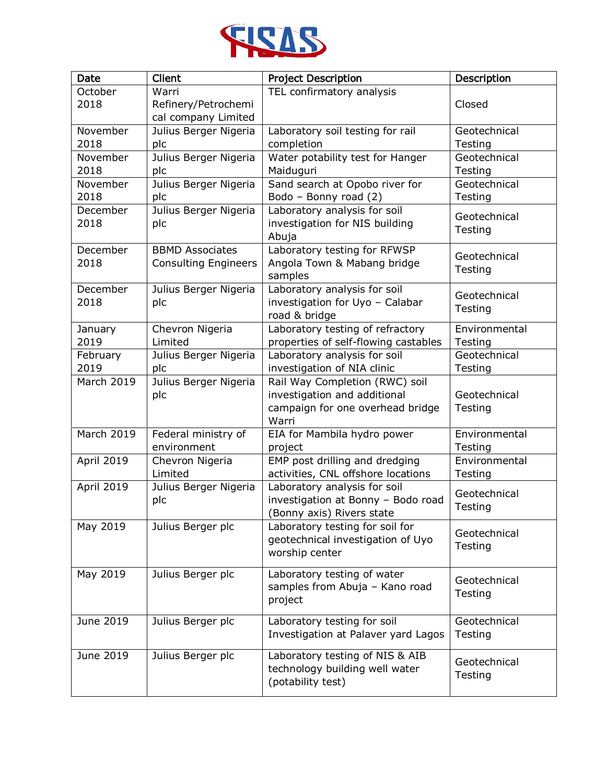

| Date             | Client                                                | <b>Project Description</b>                                                                                  | Description              |
|------------------|-------------------------------------------------------|-------------------------------------------------------------------------------------------------------------|--------------------------|
| October<br>2018  | Warri<br>Refinery/Petrochemi<br>cal company Limited   | TEL confirmatory analysis                                                                                   | Closed                   |
| November<br>2018 | Julius Berger Nigeria<br>plc                          | Laboratory soil testing for rail<br>completion                                                              | Geotechnical<br>Testing  |
| November<br>2018 | Julius Berger Nigeria<br>plc                          | Water potability test for Hanger<br>Maiduguri                                                               | Geotechnical<br>Testing  |
| November<br>2018 | Julius Berger Nigeria<br>plc                          | Sand search at Opobo river for<br>Bodo - Bonny road (2)                                                     | Geotechnical<br>Testing  |
| December<br>2018 | Julius Berger Nigeria<br>plc                          | Laboratory analysis for soil<br>investigation for NIS building<br>Abuja                                     | Geotechnical<br>Testing  |
| December<br>2018 | <b>BBMD Associates</b><br><b>Consulting Engineers</b> | Laboratory testing for RFWSP<br>Angola Town & Mabang bridge<br>samples                                      | Geotechnical<br>Testing  |
| December<br>2018 | Julius Berger Nigeria<br>plc                          | Laboratory analysis for soil<br>investigation for Uyo - Calabar<br>road & bridge                            | Geotechnical<br>Testing  |
| January<br>2019  | Chevron Nigeria<br>Limited                            | Laboratory testing of refractory<br>properties of self-flowing castables                                    | Environmental<br>Testing |
| February<br>2019 | Julius Berger Nigeria<br>plc                          | Laboratory analysis for soil<br>investigation of NIA clinic                                                 | Geotechnical<br>Testing  |
| March 2019       | Julius Berger Nigeria<br>plc                          | Rail Way Completion (RWC) soil<br>investigation and additional<br>campaign for one overhead bridge<br>Warri | Geotechnical<br>Testing  |
| March 2019       | Federal ministry of<br>environment                    | EIA for Mambila hydro power<br>project                                                                      | Environmental<br>Testing |
| April 2019       | Chevron Nigeria<br>Limited                            | EMP post drilling and dredging<br>activities, CNL offshore locations                                        | Environmental<br>Testing |
| April 2019       | Julius Berger Nigeria<br>plc                          | Laboratory analysis for soil<br>investigation at Bonny - Bodo road<br>(Bonny axis) Rivers state             | Geotechnical<br>Testing  |
| May 2019         | Julius Berger plc                                     | Laboratory testing for soil for<br>geotechnical investigation of Uyo<br>worship center                      | Geotechnical<br>Testing  |
| May 2019         | Julius Berger plc                                     | Laboratory testing of water<br>samples from Abuja - Kano road<br>project                                    | Geotechnical<br>Testing  |
| June 2019        | Julius Berger plc                                     | Laboratory testing for soil<br>Investigation at Palaver yard Lagos                                          | Geotechnical<br>Testing  |
| June 2019        | Julius Berger plc                                     | Laboratory testing of NIS & AIB<br>technology building well water<br>(potability test)                      | Geotechnical<br>Testing  |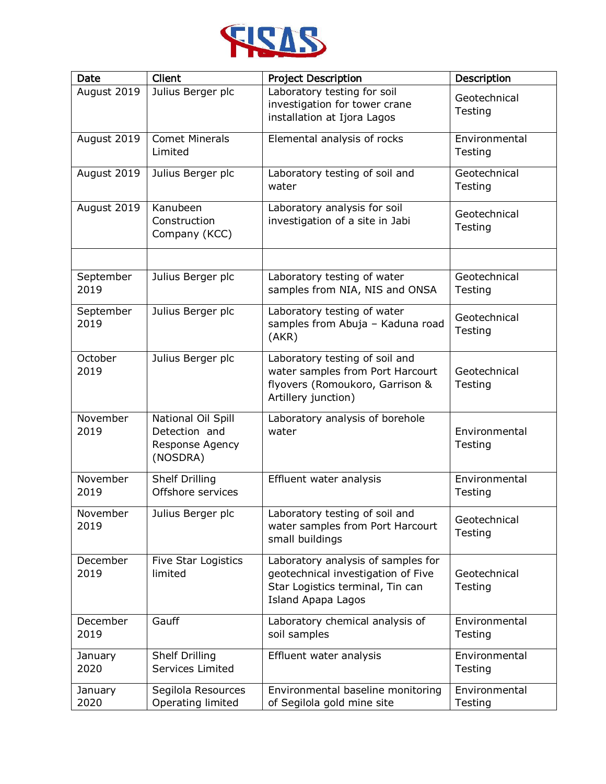

| Date              | Client                                                             | <b>Project Description</b>                                                                                                                | Description              |
|-------------------|--------------------------------------------------------------------|-------------------------------------------------------------------------------------------------------------------------------------------|--------------------------|
| August 2019       | Julius Berger plc                                                  | Laboratory testing for soil<br>investigation for tower crane<br>installation at Ijora Lagos                                               | Geotechnical<br>Testing  |
| August 2019       | <b>Comet Minerals</b><br>Limited                                   | Elemental analysis of rocks                                                                                                               | Environmental<br>Testing |
| August 2019       | Julius Berger plc                                                  | Laboratory testing of soil and<br>water                                                                                                   | Geotechnical<br>Testing  |
| August 2019       | Kanubeen<br>Construction<br>Company (KCC)                          | Laboratory analysis for soil<br>investigation of a site in Jabi                                                                           | Geotechnical<br>Testing  |
|                   |                                                                    |                                                                                                                                           |                          |
| September<br>2019 | Julius Berger plc                                                  | Laboratory testing of water<br>samples from NIA, NIS and ONSA                                                                             | Geotechnical<br>Testing  |
| September<br>2019 | Julius Berger plc                                                  | Laboratory testing of water<br>samples from Abuja - Kaduna road<br>(AKR)                                                                  | Geotechnical<br>Testing  |
| October<br>2019   | Julius Berger plc                                                  | Laboratory testing of soil and<br>water samples from Port Harcourt<br>flyovers (Romoukoro, Garrison &<br>Artillery junction)              | Geotechnical<br>Testing  |
| November<br>2019  | National Oil Spill<br>Detection and<br>Response Agency<br>(NOSDRA) | Laboratory analysis of borehole<br>water                                                                                                  | Environmental<br>Testing |
| November<br>2019  | <b>Shelf Drilling</b><br>Offshore services                         | Effluent water analysis                                                                                                                   | Environmental<br>Testing |
| November<br>2019  | Julius Berger plc                                                  | Laboratory testing of soil and<br>water samples from Port Harcourt<br>small buildings                                                     | Geotechnical<br>Testing  |
| December<br>2019  | Five Star Logistics<br>limited                                     | Laboratory analysis of samples for<br>geotechnical investigation of Five<br>Star Logistics terminal, Tin can<br><b>Island Apapa Lagos</b> | Geotechnical<br>Testing  |
| December<br>2019  | Gauff                                                              | Laboratory chemical analysis of<br>soil samples                                                                                           | Environmental<br>Testing |
| January<br>2020   | Shelf Drilling<br>Services Limited                                 | Effluent water analysis                                                                                                                   | Environmental<br>Testing |
| January<br>2020   | Segilola Resources<br>Operating limited                            | Environmental baseline monitoring<br>of Segilola gold mine site                                                                           | Environmental<br>Testing |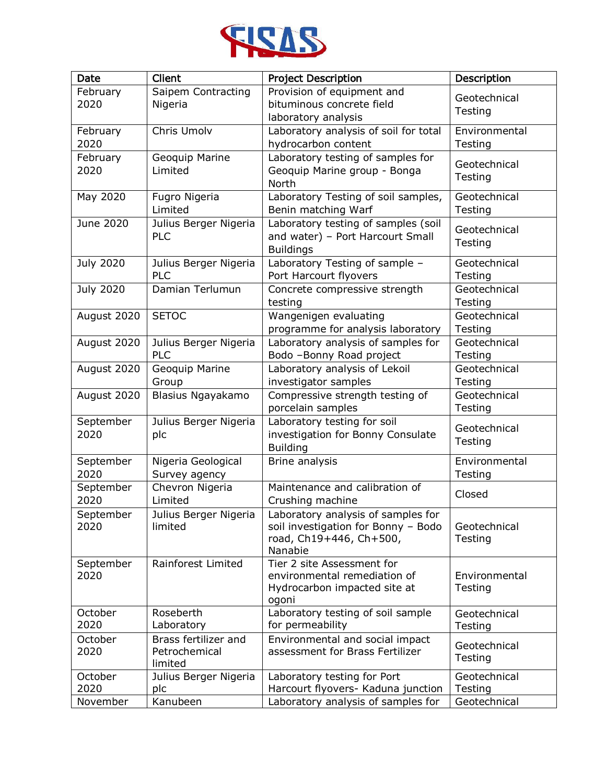

| Date             | Client                | <b>Project Description</b>            | Description   |
|------------------|-----------------------|---------------------------------------|---------------|
| February         | Saipem Contracting    | Provision of equipment and            | Geotechnical  |
| 2020             | Nigeria               | bituminous concrete field             | Testing       |
|                  |                       | laboratory analysis                   |               |
| February         | Chris Umolv           | Laboratory analysis of soil for total | Environmental |
| 2020             |                       | hydrocarbon content                   | Testing       |
| February         | Geoquip Marine        | Laboratory testing of samples for     | Geotechnical  |
| 2020             | Limited               | Geoquip Marine group - Bonga          | Testing       |
|                  |                       | North                                 |               |
| May 2020         | Fugro Nigeria         | Laboratory Testing of soil samples,   | Geotechnical  |
|                  | Limited               | Benin matching Warf                   | Testing       |
| June 2020        | Julius Berger Nigeria | Laboratory testing of samples (soil   | Geotechnical  |
|                  | PLC                   | and water) - Port Harcourt Small      | Testing       |
|                  |                       | <b>Buildings</b>                      |               |
| <b>July 2020</b> | Julius Berger Nigeria | Laboratory Testing of sample -        | Geotechnical  |
|                  | <b>PLC</b>            | Port Harcourt flyovers                | Testing       |
| <b>July 2020</b> | Damian Terlumun       | Concrete compressive strength         | Geotechnical  |
|                  |                       | testing                               | Testing       |
| August 2020      | <b>SETOC</b>          | Wangenigen evaluating                 | Geotechnical  |
|                  |                       | programme for analysis laboratory     | Testing       |
| August 2020      | Julius Berger Nigeria | Laboratory analysis of samples for    | Geotechnical  |
|                  | PLC                   | Bodo -Bonny Road project              | Testing       |
| August 2020      | Geoquip Marine        | Laboratory analysis of Lekoil         | Geotechnical  |
|                  | Group                 | investigator samples                  | Testing       |
| August 2020      | Blasius Ngayakamo     | Compressive strength testing of       | Geotechnical  |
|                  |                       | porcelain samples                     | Testing       |
| September        | Julius Berger Nigeria | Laboratory testing for soil           | Geotechnical  |
| 2020             | plc                   | investigation for Bonny Consulate     | Testing       |
|                  |                       | <b>Building</b>                       |               |
| September        | Nigeria Geological    | Brine analysis                        | Environmental |
| 2020             | Survey agency         |                                       | Testing       |
| September        | Chevron Nigeria       | Maintenance and calibration of        | Closed        |
| 2020             | Limited               | Crushing machine                      |               |
| September        | Julius Berger Nigeria | Laboratory analysis of samples for    |               |
| 2020             | limited               | soil investigation for Bonny - Bodo   | Geotechnical  |
|                  |                       | road, Ch19+446, Ch+500,               | Testing       |
|                  |                       | Nanabie                               |               |
| September        | Rainforest Limited    | Tier 2 site Assessment for            |               |
| 2020             |                       | environmental remediation of          | Environmental |
|                  |                       | Hydrocarbon impacted site at<br>ogoni | Testing       |
| October          | Roseberth             | Laboratory testing of soil sample     | Geotechnical  |
| 2020             | Laboratory            | for permeability                      | Testing       |
| October          | Brass fertilizer and  | Environmental and social impact       |               |
| 2020             | Petrochemical         | assessment for Brass Fertilizer       | Geotechnical  |
|                  | limited               |                                       | Testing       |
| October          | Julius Berger Nigeria | Laboratory testing for Port           | Geotechnical  |
| 2020             | plc                   | Harcourt flyovers- Kaduna junction    | Testing       |
| November         | Kanubeen              | Laboratory analysis of samples for    | Geotechnical  |